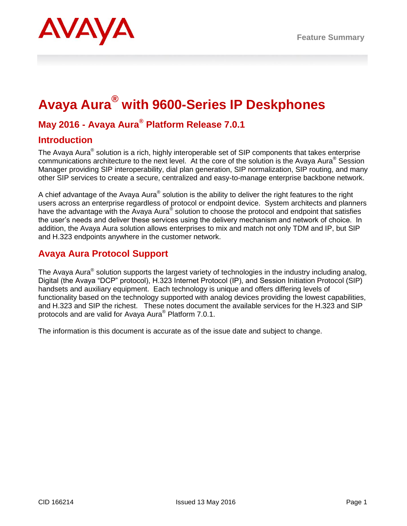# **Avaya Aura® with 9600-Series IP Deskphones**

## **May 2016 - Avaya Aura® Platform Release 7.0.1**

## **Introduction**

The Avaya Aura® solution is a rich, highly interoperable set of SIP components that takes enterprise communications architecture to the next level. At the core of the solution is the Avaya Aura® Session Manager providing SIP interoperability, dial plan generation, SIP normalization, SIP routing, and many other SIP services to create a secure, centralized and easy-to-manage enterprise backbone network.

A chief advantage of the Avaya Aura® solution is the ability to deliver the right features to the right users across an enterprise regardless of protocol or endpoint device. System architects and planners have the advantage with the Avaya Aura® solution to choose the protocol and endpoint that satisfies the user's needs and deliver these services using the delivery mechanism and network of choice. In addition, the Avaya Aura solution allows enterprises to mix and match not only TDM and IP, but SIP and H.323 endpoints anywhere in the customer network.

## **Avaya Aura Protocol Support**

The Avaya Aura® solution supports the largest variety of technologies in the industry including analog, Digital (the Avaya "DCP" protocol), H.323 Internet Protocol (IP), and Session Initiation Protocol (SIP) handsets and auxiliary equipment. Each technology is unique and offers differing levels of functionality based on the technology supported with analog devices providing the lowest capabilities, and H.323 and SIP the richest. These notes document the available services for the H.323 and SIP protocols and are valid for Avaya Aura® Platform 7.0.1.

The information is this document is accurate as of the issue date and subject to change.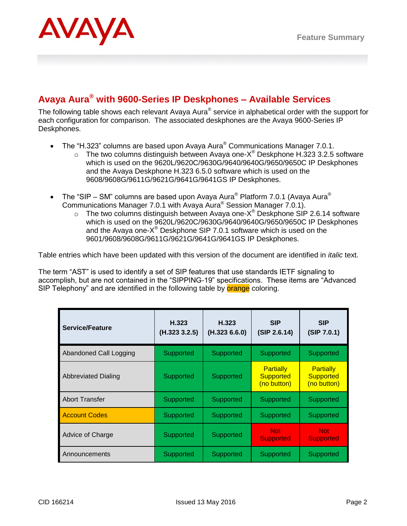

## **Avaya Aura® with 9600-Series IP Deskphones – Available Services**

The following table shows each relevant Avaya Aura® service in alphabetical order with the support for each configuration for comparison. The associated deskphones are the Avaya 9600-Series IP Deskphones.

- The "H.323" columns are based upon Avaya Aura<sup>®</sup> Communications Manager 7.0.1.
	- $\circ$  The two columns distinguish between Avaya one-X<sup>®</sup> Deskphone H.323 3.2.5 software which is used on the 9620L/9620C/9630G/9640/9640G/9650/9650C IP Deskphones and the Avaya Deskphone H.323 6.5.0 software which is used on the 9608/9608G/9611G/9621G/9641G/9641GS IP Deskphones.
- The "SIP SM" columns are based upon Avaya Aura<sup>®</sup> Platform 7.0.1 (Avaya Aura<sup>®</sup> Communications Manager 7.0.1 with Avaya Aura® Session Manager 7.0.1).
	- $\circ$  The two columns distinguish between Avaya one-X® Deskphone SIP 2.6.14 software which is used on the 9620L/9620C/9630G/9640/9640G/9650/9650C IP Deskphones and the Avaya one-X $^{\circledast}$  Deskphone SIP 7.0.1 software which is used on the 9601/9608/9608G/9611G/9621G/9641G/9641GS IP Deskphones.

Table entries which have been updated with this version of the document are identified in *italic* text.

The term "AST" is used to identify a set of SIP features that use standards IETF signaling to accomplish, but are not contained in the "SIPPING-19" specifications. These items are "Advanced SIP Telephony" and are identified in the following table by **orange** coloring.

| <b>Service/Feature</b>     | H.323<br>(H.323 3.2.5) | H.323<br>(H.323 6.6.0) | <b>SIP</b><br>(SIP 2.6.14)                          | <b>SIP</b><br>(SIP 7.0.1)                           |
|----------------------------|------------------------|------------------------|-----------------------------------------------------|-----------------------------------------------------|
| Abandoned Call Logging     | Supported              | Supported              | Supported                                           | Supported                                           |
| <b>Abbreviated Dialing</b> | Supported              | Supported              | <b>Partially</b><br><b>Supported</b><br>(no button) | <b>Partially</b><br><b>Supported</b><br>(no button) |
| <b>Abort Transfer</b>      | Supported              | Supported              | Supported                                           | Supported                                           |
| <b>Account Codes</b>       | Supported              | Supported              | Supported                                           | Supported                                           |
| Advice of Charge           | Supported              | Supported              | <b>Not</b><br><b>Supported</b>                      | <b>Not</b><br><b>Supported</b>                      |
| Announcements              | Supported              | Supported              | Supported                                           | Supported                                           |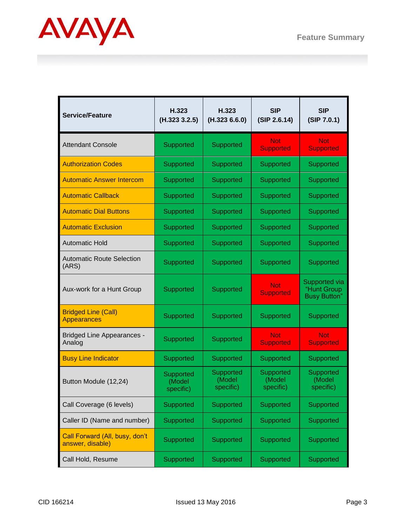

| <b>Service/Feature</b>                             | H.323<br>(H.323 3.2.5)           | H.323<br>(H.323 6.6.0)           | <b>SIP</b><br>(SIP 2.6.14)       | <b>SIP</b><br>(SIP 7.0.1)                           |
|----------------------------------------------------|----------------------------------|----------------------------------|----------------------------------|-----------------------------------------------------|
| <b>Attendant Console</b>                           | Supported                        | Supported                        | <b>Not</b><br><b>Supported</b>   | Not:<br><b>Supported</b>                            |
| <b>Authorization Codes</b>                         | Supported                        | Supported                        | Supported                        | Supported                                           |
| <b>Automatic Answer Intercom</b>                   | Supported                        | Supported                        | Supported                        | Supported                                           |
| <b>Automatic Callback</b>                          | Supported                        | Supported                        | Supported                        | Supported                                           |
| <b>Automatic Dial Buttons</b>                      | Supported                        | Supported                        | Supported                        | Supported                                           |
| <b>Automatic Exclusion</b>                         | Supported                        | Supported                        | Supported                        | Supported                                           |
| <b>Automatic Hold</b>                              | Supported                        | Supported                        | Supported                        | Supported                                           |
| <b>Automatic Route Selection</b><br>(ARS)          | Supported                        | Supported                        | Supported                        | Supported                                           |
| Aux-work for a Hunt Group                          | Supported                        | Supported                        | <b>Not</b><br><b>Supported</b>   | Supported via<br>"Hunt Group<br><b>Busy Button"</b> |
| <b>Bridged Line (Call)</b><br><b>Appearances</b>   | Supported                        | Supported                        | Supported                        | Supported                                           |
| <b>Bridged Line Appearances -</b><br>Analog        | Supported                        | Supported                        | <b>Not</b><br><b>Supported</b>   | <b>Not</b><br><b>Supported</b>                      |
| <b>Busy Line Indicator</b>                         | Supported                        | Supported                        | Supported                        | Supported                                           |
| Button Module (12,24)                              | Supported<br>(Model<br>specific) | Supported<br>(Model<br>specific) | Supported<br>(Model<br>specific) | Supported<br>(Model<br>specific)                    |
| Call Coverage (6 levels)                           | Supported                        | Supported                        | Supported                        | Supported                                           |
| Caller ID (Name and number)                        | Supported                        | Supported                        | Supported                        | Supported                                           |
| Call Forward (All, busy, don't<br>answer, disable) | Supported                        | Supported                        | Supported                        | Supported                                           |
| Call Hold, Resume                                  | Supported                        | Supported                        | Supported                        | Supported                                           |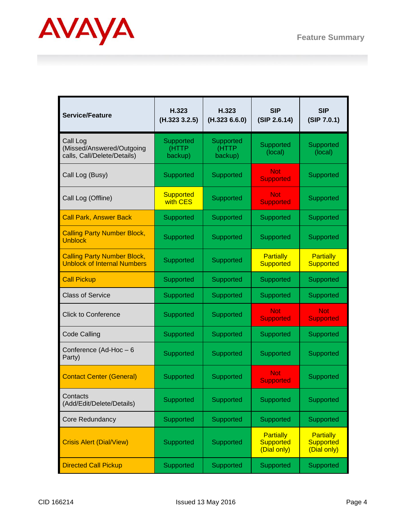

| <b>Service/Feature</b>                                                   | H.323<br>(H.323 3.2.5)        | H.323<br>(H.323 6.6.0)        | <b>SIP</b><br>(SIP 2.6.14)                          | <b>SIP</b><br>(SIP 7.0.1)                           |
|--------------------------------------------------------------------------|-------------------------------|-------------------------------|-----------------------------------------------------|-----------------------------------------------------|
| Call Log<br>(Missed/Answered/Outgoing<br>calls, Call/Delete/Details)     | Supported<br>(HTTP<br>backup) | Supported<br>(HTTP<br>backup) | Supported<br>(local)                                | Supported<br>(local)                                |
| Call Log (Busy)                                                          | Supported                     | Supported                     | <b>Not</b><br><b>Supported</b>                      | Supported                                           |
| Call Log (Offline)                                                       | <b>Supported</b><br>with CES  | Supported                     | <b>Not</b><br><b>Supported</b>                      | Supported                                           |
| <b>Call Park, Answer Back</b>                                            | Supported                     | Supported                     | Supported                                           | Supported                                           |
| <b>Calling Party Number Block,</b><br><b>Unblock</b>                     | Supported                     | Supported                     | Supported                                           | Supported                                           |
| <b>Calling Party Number Block,</b><br><b>Unblock of Internal Numbers</b> | Supported                     | Supported                     | <b>Partially</b><br><b>Supported</b>                | <b>Partially</b><br><b>Supported</b>                |
| <b>Call Pickup</b>                                                       | Supported                     | Supported                     | Supported                                           | Supported                                           |
| <b>Class of Service</b>                                                  | Supported                     | Supported                     | Supported                                           | Supported                                           |
| <b>Click to Conference</b>                                               | Supported                     | Supported                     | <b>Not</b><br><b>Supported</b>                      | <b>Not</b><br><b>Supported</b>                      |
| <b>Code Calling</b>                                                      | Supported                     | Supported                     | Supported                                           | Supported                                           |
| Conference (Ad-Hoc-6<br>Party)                                           | Supported                     | Supported                     | Supported                                           | Supported                                           |
| <b>Contact Center (General)</b>                                          | Supported                     | Supported                     | Not.<br><b>Supported</b>                            | Supported                                           |
| Contacts<br>(Add/Edit/Delete/Details)                                    | Supported                     | Supported                     | Supported                                           | Supported                                           |
| Core Redundancy                                                          | Supported                     | Supported                     | Supported                                           | Supported                                           |
| <b>Crisis Alert (Dial/View)</b>                                          | Supported                     | Supported                     | <b>Partially</b><br><b>Supported</b><br>(Dial only) | <b>Partially</b><br><b>Supported</b><br>(Dial only) |
| <b>Directed Call Pickup</b>                                              | Supported                     | Supported                     | Supported                                           | Supported                                           |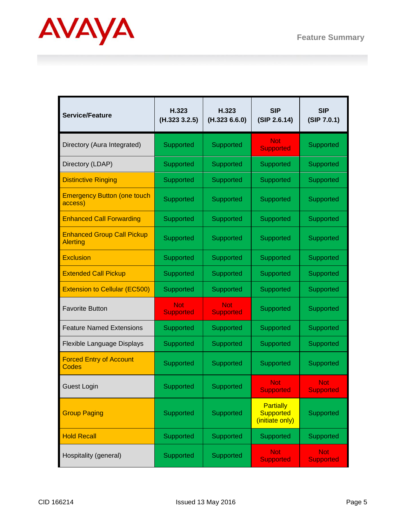

| <b>Service/Feature</b>                               | H.323<br>(H.323 3.2.5)         | H.323<br>(H.323 6.6.0)         | <b>SIP</b><br>(SIP 2.6.14)                              | <b>SIP</b><br>(SIP 7.0.1)      |
|------------------------------------------------------|--------------------------------|--------------------------------|---------------------------------------------------------|--------------------------------|
| Directory (Aura Integrated)                          | Supported                      | Supported                      | <b>Not</b><br><b>Supported</b>                          | Supported                      |
| Directory (LDAP)                                     | Supported                      | Supported                      | Supported                                               | Supported                      |
| <b>Distinctive Ringing</b>                           | Supported                      | Supported                      | Supported                                               | Supported                      |
| <b>Emergency Button (one touch</b><br>access)        | Supported                      | Supported                      | Supported                                               | Supported                      |
| <b>Enhanced Call Forwarding</b>                      | Supported                      | Supported                      | Supported                                               | Supported                      |
| <b>Enhanced Group Call Pickup</b><br><b>Alerting</b> | Supported                      | Supported                      | Supported                                               | Supported                      |
| <b>Exclusion</b>                                     | Supported                      | Supported                      | Supported                                               | Supported                      |
| <b>Extended Call Pickup</b>                          | Supported                      | Supported                      | Supported                                               | Supported                      |
| <b>Extension to Cellular (EC500)</b>                 | Supported                      | Supported                      | Supported                                               | Supported                      |
| <b>Favorite Button</b>                               | <b>Not</b><br><b>Supported</b> | <b>Not</b><br><b>Supported</b> | Supported                                               | Supported                      |
| <b>Feature Named Extensions</b>                      | Supported                      | Supported                      | Supported                                               | Supported                      |
| Flexible Language Displays                           | Supported                      | Supported                      | Supported                                               | Supported                      |
| <b>Forced Entry of Account</b><br>Codes              | Supported                      | Supported                      | Supported                                               | Supported                      |
| Guest Login                                          | Supported                      | Supported                      | <b>Not</b><br><b>Supported</b>                          | <b>Not</b><br><b>Supported</b> |
| <b>Group Paging</b>                                  | Supported                      | Supported                      | <b>Partially</b><br><b>Supported</b><br>(initiate only) | Supported                      |
| <b>Hold Recall</b>                                   | Supported                      | Supported                      | Supported                                               | Supported                      |
| Hospitality (general)                                | Supported                      | Supported                      | <b>Not</b><br><b>Supported</b>                          | <b>Not</b><br><b>Supported</b> |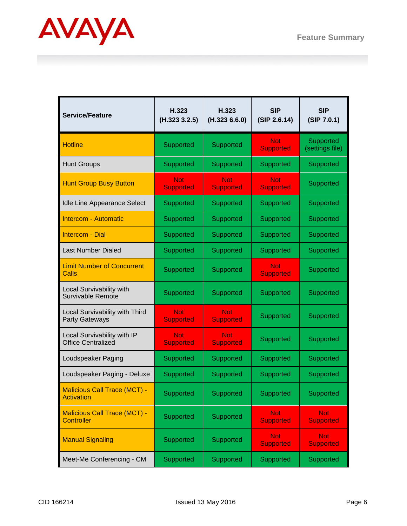

| <b>Service/Feature</b>                                   | H.323<br>(H.323 3.2.5)         | H.323<br>(H.3236.6.0)          | <b>SIP</b><br>(SIP 2.6.14)     | <b>SIP</b><br>(SIP 7.0.1)      |
|----------------------------------------------------------|--------------------------------|--------------------------------|--------------------------------|--------------------------------|
| <b>Hotline</b>                                           | Supported                      | Supported                      | Not:<br><b>Supported</b>       | Supported<br>(settings file)   |
| <b>Hunt Groups</b>                                       | Supported                      | Supported                      | Supported                      | Supported                      |
| <b>Hunt Group Busy Button</b>                            | Not<br><b>Supported</b>        | Not<br><b>Supported</b>        | Not<br><b>Supported</b>        | Supported                      |
| Idle Line Appearance Select                              | Supported                      | Supported                      | Supported                      | Supported                      |
| <b>Intercom - Automatic</b>                              | Supported                      | Supported                      | Supported                      | Supported                      |
| <b>Intercom - Dial</b>                                   | Supported                      | Supported                      | Supported                      | Supported                      |
| <b>Last Number Dialed</b>                                | Supported                      | Supported                      | Supported                      | <b>Supported</b>               |
| <b>Limit Number of Concurrent</b><br>Calls               | Supported                      | Supported                      | <b>Not</b><br><b>Supported</b> | Supported                      |
| Local Survivability with<br>Survivable Remote            | Supported                      | Supported                      | Supported                      | Supported                      |
| Local Survivability with Third<br>Party Gateways         | <b>Not</b><br><b>Supported</b> | <b>Not</b><br><b>Supported</b> | Supported                      | Supported                      |
| Local Survivability with IP<br><b>Office Centralized</b> | <b>Not</b><br><b>Supported</b> | <b>Not</b><br><b>Supported</b> | Supported                      | Supported                      |
| Loudspeaker Paging                                       | Supported                      | Supported                      | Supported                      | Supported                      |
| Loudspeaker Paging - Deluxe                              | Supported                      | Supported                      | Supported                      | Supported                      |
| <b>Malicious Call Trace (MCT) -</b><br><b>Activation</b> | Supported                      | Supported                      | Supported                      | Supported                      |
| <b>Malicious Call Trace (MCT) -</b><br><b>Controller</b> | Supported                      | Supported                      | <b>Not</b><br><b>Supported</b> | <b>Not</b><br><b>Supported</b> |
| <b>Manual Signaling</b>                                  | Supported                      | Supported                      | <b>Not</b><br><b>Supported</b> | <b>Not</b><br><b>Supported</b> |
| Meet-Me Conferencing - CM                                | Supported                      | Supported                      | Supported                      | Supported                      |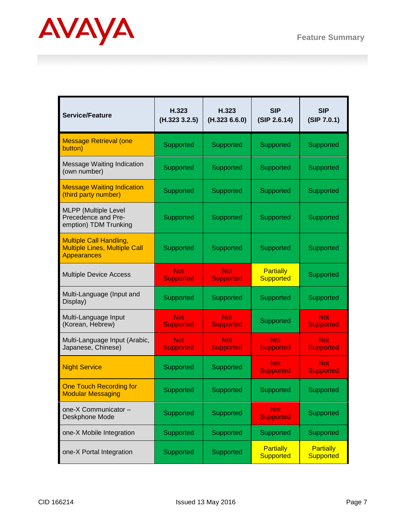

| <b>Service/Feature</b>                                                                       | H.323<br>(H.323 3.2.5)         | H.323<br>(H.323 6.6.0)         | <b>SIP</b><br>(SIP 2.6.14)           | <b>SIP</b><br>(SIP 7.0.1)            |
|----------------------------------------------------------------------------------------------|--------------------------------|--------------------------------|--------------------------------------|--------------------------------------|
| <b>Message Retrieval (one</b><br>button)                                                     | Supported                      | Supported                      | Supported                            | Supported                            |
| Message Waiting Indication<br>(own number)                                                   | Supported                      | Supported                      | Supported                            | Supported                            |
| <b>Message Waiting Indication</b><br>(third party number)                                    | Supported                      | Supported                      | Supported                            | Supported                            |
| <b>MLPP</b> (Multiple Level<br>Precedence and Pre-<br>emption) TDM Trunking                  | Supported                      | Supported                      | Supported                            | Supported                            |
| <b>Multiple Call Handling,</b><br><b>Multiple Lines, Multiple Call</b><br><b>Appearances</b> | Supported                      | Supported                      | Supported                            | Supported                            |
| <b>Multiple Device Access</b>                                                                | <b>Not</b><br><b>Supported</b> | <b>Not</b><br><b>Supported</b> | <b>Partially</b><br><b>Supported</b> | Supported                            |
| Multi-Language (Input and<br>Display)                                                        | Supported                      | Supported                      | Supported                            | Supported                            |
| Multi-Language Input<br>(Korean, Hebrew)                                                     | <b>Not</b><br><b>Supported</b> | <b>Not</b><br><b>Supported</b> | Supported                            | <b>Not</b><br><b>Supported</b>       |
| Multi-Language Input (Arabic,<br>Japanese, Chinese)                                          | <b>Not</b><br><b>Supported</b> | <b>Not</b><br><b>Supported</b> | <b>Not</b><br><b>Supported</b>       | <b>Not</b><br><b>Supported</b>       |
| <b>Night Service</b>                                                                         | Supported                      | Supported                      | Not<br><b>Supported</b>              | <b>Not</b><br><b>Supported</b>       |
| <b>One Touch Recording for</b><br><b>Modular Messaging</b>                                   | Supported                      | Supported                      | Supported                            | Supported                            |
| one-X Communicator -<br>Deskphone Mode                                                       | Supported                      | Supported                      | <b>Not</b><br><b>Supported</b>       | Supported                            |
| one-X Mobile Integration                                                                     | Supported                      | Supported                      | Supported                            | Supported                            |
| one-X Portal Integration                                                                     | Supported                      | Supported                      | <b>Partially</b><br><b>Supported</b> | <b>Partially</b><br><b>Supported</b> |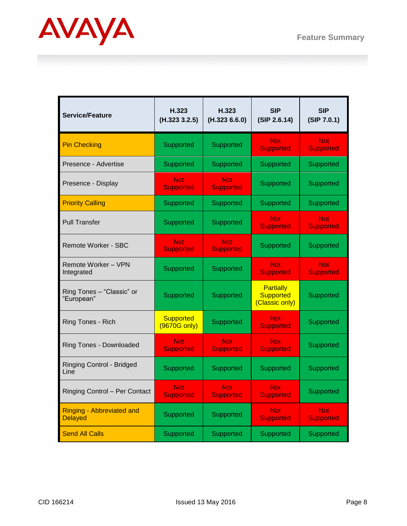

| <b>Service/Feature</b>                             | H.323<br>(H.323 3.2.5)             | H.323<br>(H.323 6.6.0)         | <b>SIP</b><br>(SIP 2.6.14)                      | <b>SIP</b><br>(SIP 7.0.1)      |
|----------------------------------------------------|------------------------------------|--------------------------------|-------------------------------------------------|--------------------------------|
| <b>Pin Checking</b>                                | Supported                          | Supported                      | <b>Not</b><br><b>Supported</b>                  | <b>Not</b><br><b>Supported</b> |
| Presence - Advertise                               | Supported                          | Supported                      | Supported                                       | Supported                      |
| Presence - Display                                 | <b>Not</b><br><b>Supported</b>     | <b>Not</b><br><b>Supported</b> | Supported                                       | Supported                      |
| <b>Priority Calling</b>                            | Supported                          | Supported                      | Supported                                       | Supported                      |
| <b>Pull Transfer</b>                               | Supported                          | Supported                      | <b>Not</b><br><b>Supported</b>                  | <b>Not</b><br><b>Supported</b> |
| Remote Worker - SBC                                | <b>Not</b><br><b>Supported</b>     | <b>Not</b><br><b>Supported</b> | Supported                                       | Supported                      |
| <b>Remote Worker - VPN</b><br>Integrated           | Supported                          | Supported                      | <b>Not</b><br><b>Supported</b>                  | <b>Not</b><br><b>Supported</b> |
| Ring Tones - "Classic" or<br>"European"            | Supported                          | Supported                      | Partially<br><b>Supported</b><br>(Classic only) | Supported                      |
| Ring Tones - Rich                                  | <b>Supported</b><br>$(9670G$ only) | Supported                      | <b>Not</b><br><b>Supported</b>                  | Supported                      |
| Ring Tones - Downloaded                            | <b>Not</b><br><b>Supported</b>     | <b>Not</b><br><b>Supported</b> | <b>Not</b><br><b>Supported</b>                  | Supported                      |
| <b>Ringing Control - Bridged</b><br>Line           | Supported                          | Supported                      | Supported                                       | Supported                      |
| Ringing Control - Per Contact                      | <b>Not</b><br><b>Supported</b>     | <b>Not</b><br><b>Supported</b> | <b>Not</b><br><b>Supported</b>                  | Supported                      |
| <b>Ringing - Abbreviated and</b><br><b>Delayed</b> | Supported                          | Supported                      | <b>Not</b><br><b>Supported</b>                  | <b>Not</b><br><b>Supported</b> |
| <b>Send All Calls</b>                              | Supported                          | Supported                      | Supported                                       | Supported                      |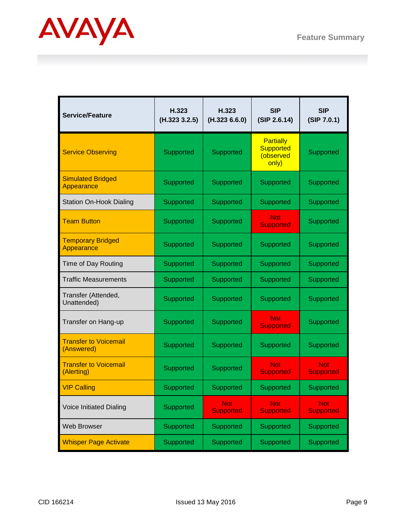

| <b>Service/Feature</b>                     | H.323<br>(H.323 3.2.5) | H.323<br>(H.323 6.6.0)         | <b>SIP</b><br>(SIP 2.6.14)                                 | <b>SIP</b><br>(SIP 7.0.1)      |
|--------------------------------------------|------------------------|--------------------------------|------------------------------------------------------------|--------------------------------|
| <b>Service Observing</b>                   | Supported              | Supported                      | <b>Partially</b><br><b>Supported</b><br>(observed<br>only) | Supported                      |
| <b>Simulated Bridged</b><br>Appearance     | Supported              | Supported                      | Supported                                                  | Supported                      |
| <b>Station On-Hook Dialing</b>             | Supported              | Supported                      | Supported                                                  | Supported                      |
| <b>Team Button</b>                         | Supported              | Supported                      | <b>Not</b><br><b>Supported</b>                             | Supported                      |
| <b>Temporary Bridged</b><br>Appearance     | Supported              | Supported                      | Supported                                                  | Supported                      |
| Time of Day Routing                        | Supported              | Supported                      | Supported                                                  | Supported                      |
| <b>Traffic Measurements</b>                | Supported              | Supported                      | Supported                                                  | Supported                      |
| Transfer (Attended,<br>Unattended)         | Supported              | Supported                      | Supported                                                  | Supported                      |
| Transfer on Hang-up                        | Supported              | Supported                      | <b>Not</b><br><b>Supported</b>                             | Supported                      |
| <b>Transfer to Voicemail</b><br>(Answered) | Supported              | Supported                      | Supported                                                  | Supported                      |
| <b>Transfer to Voicemail</b><br>(Alerting) | Supported              | Supported                      | <b>Not</b><br><b>Supported</b>                             | <b>Not</b><br><b>Supported</b> |
| <b>VIP Calling</b>                         | Supported              | Supported                      | Supported                                                  | Supported                      |
| Voice Initiated Dialing                    | Supported              | <b>Not</b><br><b>Supported</b> | <b>Not</b><br><b>Supported</b>                             | <b>Not</b><br><b>Supported</b> |
| Web Browser                                | Supported              | Supported                      | Supported                                                  | Supported                      |
| <b>Whisper Page Activate</b>               | Supported              | Supported                      | Supported                                                  | Supported                      |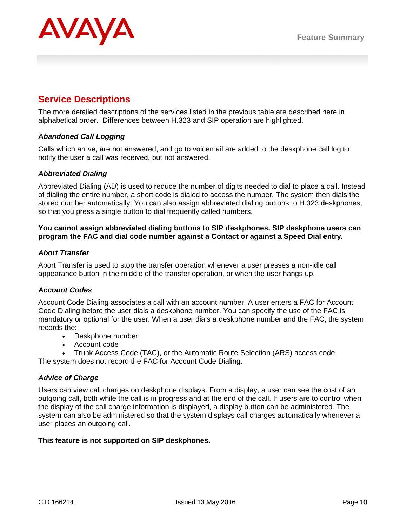

## **Service Descriptions**

The more detailed descriptions of the services listed in the previous table are described here in alphabetical order. Differences between H.323 and SIP operation are highlighted.

## *Abandoned Call Logging*

Calls which arrive, are not answered, and go to voicemail are added to the deskphone call log to notify the user a call was received, but not answered.

## *Abbreviated Dialing*

Abbreviated Dialing (AD) is used to reduce the number of digits needed to dial to place a call. Instead of dialing the entire number, a short code is dialed to access the number. The system then dials the stored number automatically. You can also assign abbreviated dialing buttons to H.323 deskphones, so that you press a single button to dial frequently called numbers.

## **You cannot assign abbreviated dialing buttons to SIP deskphones. SIP deskphone users can program the FAC and dial code number against a Contact or against a Speed Dial entry.**

#### *Abort Transfer*

Abort Transfer is used to stop the transfer operation whenever a user presses a non-idle call appearance button in the middle of the transfer operation, or when the user hangs up.

## *Account Codes*

Account Code Dialing associates a call with an account number. A user enters a FAC for Account Code Dialing before the user dials a deskphone number. You can specify the use of the FAC is mandatory or optional for the user. When a user dials a deskphone number and the FAC, the system records the:

- Deskphone number
- Account code

● Trunk Access Code (TAC), or the Automatic Route Selection (ARS) access code The system does not record the FAC for Account Code Dialing.

## *Advice of Charge*

Users can view call charges on deskphone displays. From a display, a user can see the cost of an outgoing call, both while the call is in progress and at the end of the call. If users are to control when the display of the call charge information is displayed, a display button can be administered. The system can also be administered so that the system displays call charges automatically whenever a user places an outgoing call.

## **This feature is not supported on SIP deskphones.**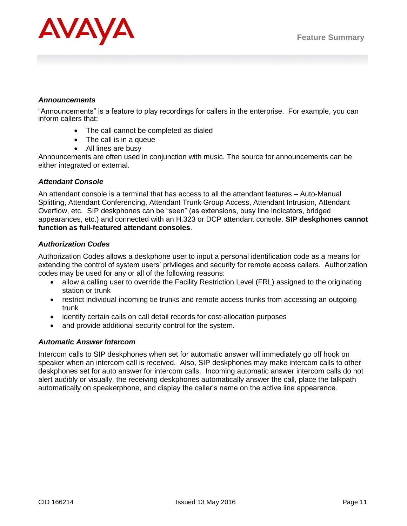

#### *Announcements*

"Announcements" is a feature to play recordings for callers in the enterprise. For example, you can inform callers that:

- The call cannot be completed as dialed
- The call is in a queue
- All lines are busy

Announcements are often used in conjunction with music. The source for announcements can be either integrated or external.

## *Attendant Console*

An attendant console is a terminal that has access to all the attendant features – Auto-Manual Splitting, Attendant Conferencing, Attendant Trunk Group Access, Attendant Intrusion, Attendant Overflow, etc. SIP deskphones can be "seen" (as extensions, busy line indicators, bridged appearances, etc.) and connected with an H.323 or DCP attendant console. **SIP deskphones cannot function as full-featured attendant consoles**.

## *Authorization Codes*

Authorization Codes allows a deskphone user to input a personal identification code as a means for extending the control of system users' privileges and security for remote access callers. Authorization codes may be used for any or all of the following reasons:

- allow a calling user to override the Facility Restriction Level (FRL) assigned to the originating station or trunk
- restrict individual incoming tie trunks and remote access trunks from accessing an outgoing trunk
- identify certain calls on call detail records for cost-allocation purposes
- and provide additional security control for the system.

## *Automatic Answer Intercom*

Intercom calls to SIP deskphones when set for automatic answer will immediately go off hook on speaker when an intercom call is received. Also, SIP deskphones may make intercom calls to other deskphones set for auto answer for intercom calls. Incoming automatic answer intercom calls do not alert audibly or visually, the receiving deskphones automatically answer the call, place the talkpath automatically on speakerphone, and display the caller's name on the active line appearance.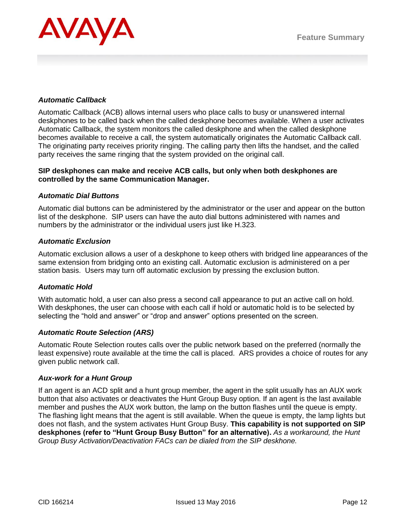

## *Automatic Callback*

Automatic Callback (ACB) allows internal users who place calls to busy or unanswered internal deskphones to be called back when the called deskphone becomes available. When a user activates Automatic Callback, the system monitors the called deskphone and when the called deskphone becomes available to receive a call, the system automatically originates the Automatic Callback call. The originating party receives priority ringing. The calling party then lifts the handset, and the called party receives the same ringing that the system provided on the original call.

## **SIP deskphones can make and receive ACB calls, but only when both deskphones are controlled by the same Communication Manager.**

#### *Automatic Dial Buttons*

Automatic dial buttons can be administered by the administrator or the user and appear on the button list of the deskphone. SIP users can have the auto dial buttons administered with names and numbers by the administrator or the individual users just like H.323.

#### *Automatic Exclusion*

Automatic exclusion allows a user of a deskphone to keep others with bridged line appearances of the same extension from bridging onto an existing call. Automatic exclusion is administered on a per station basis. Users may turn off automatic exclusion by pressing the exclusion button.

#### *Automatic Hold*

With automatic hold, a user can also press a second call appearance to put an active call on hold. With deskphones, the user can choose with each call if hold or automatic hold is to be selected by selecting the "hold and answer" or "drop and answer" options presented on the screen.

#### *Automatic Route Selection (ARS)*

Automatic Route Selection routes calls over the public network based on the preferred (normally the least expensive) route available at the time the call is placed. ARS provides a choice of routes for any given public network call.

#### *Aux-work for a Hunt Group*

If an agent is an ACD split and a hunt group member, the agent in the split usually has an AUX work button that also activates or deactivates the Hunt Group Busy option. If an agent is the last available member and pushes the AUX work button, the lamp on the button flashes until the queue is empty. The flashing light means that the agent is still available. When the queue is empty, the lamp lights but does not flash, and the system activates Hunt Group Busy. **This capability is not supported on SIP deskphones (refer to "Hunt Group Busy Button" for an alternative).** *As a workaround, the Hunt Group Busy Activation/Deactivation FACs can be dialed from the SIP deskhone.*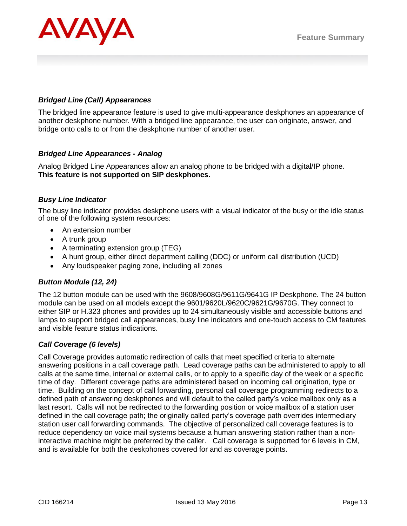

## *Bridged Line (Call) Appearances*

The bridged line appearance feature is used to give multi-appearance deskphones an appearance of another deskphone number. With a bridged line appearance, the user can originate, answer, and bridge onto calls to or from the deskphone number of another user.

## *Bridged Line Appearances - Analog*

Analog Bridged Line Appearances allow an analog phone to be bridged with a digital/IP phone. **This feature is not supported on SIP deskphones.**

## *Busy Line Indicator*

The busy line indicator provides deskphone users with a visual indicator of the busy or the idle status of one of the following system resources:

- An extension number
- A trunk group
- A terminating extension group (TEG)
- A hunt group, either direct department calling (DDC) or uniform call distribution (UCD)
- Any loudspeaker paging zone, including all zones

## *Button Module (12, 24)*

The 12 button module can be used with the 9608/9608G/9611G/9641G IP Deskphone. The 24 button module can be used on all models except the 9601/9620L/9620C/9621G/9670G. They connect to either SIP or H.323 phones and provides up to 24 simultaneously visible and accessible buttons and lamps to support bridged call appearances, busy line indicators and one-touch access to CM features and visible feature status indications.

## *Call Coverage (6 levels)*

Call Coverage provides automatic redirection of calls that meet specified criteria to alternate answering positions in a call coverage path. Lead coverage paths can be administered to apply to all calls at the same time, internal or external calls, or to apply to a specific day of the week or a specific time of day. Different coverage paths are administered based on incoming call origination, type or time. Building on the concept of call forwarding, personal call coverage programming redirects to a defined path of answering deskphones and will default to the called party's voice mailbox only as a last resort. Calls will not be redirected to the forwarding position or voice mailbox of a station user defined in the call coverage path; the originally called party's coverage path overrides intermediary station user call forwarding commands. The objective of personalized call coverage features is to reduce dependency on voice mail systems because a human answering station rather than a noninteractive machine might be preferred by the caller. Call coverage is supported for 6 levels in CM, and is available for both the deskphones covered for and as coverage points.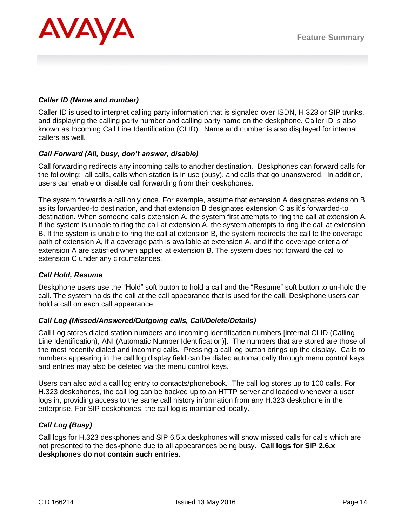

## *Caller ID (Name and number)*

Caller ID is used to interpret calling party information that is signaled over ISDN, H.323 or SIP trunks, and displaying the calling party number and calling party name on the deskphone. Caller ID is also known as Incoming Call Line Identification (CLID). Name and number is also displayed for internal callers as well.

## *Call Forward (All, busy, don't answer, disable)*

Call forwarding redirects any incoming calls to another destination. Deskphones can forward calls for the following: all calls, calls when station is in use (busy), and calls that go unanswered. In addition, users can enable or disable call forwarding from their deskphones.

The system forwards a call only once. For example, assume that extension A designates extension B as its forwarded-to destination, and that extension B designates extension C as it's forwarded-to destination. When someone calls extension A, the system first attempts to ring the call at extension A. If the system is unable to ring the call at extension A, the system attempts to ring the call at extension B. If the system is unable to ring the call at extension B, the system redirects the call to the coverage path of extension A, if a coverage path is available at extension A, and if the coverage criteria of extension A are satisfied when applied at extension B. The system does not forward the call to extension C under any circumstances.

## *Call Hold, Resume*

Deskphone users use the "Hold" soft button to hold a call and the "Resume" soft button to un-hold the call. The system holds the call at the call appearance that is used for the call. Deskphone users can hold a call on each call appearance.

## *Call Log (Missed/Answered/Outgoing calls, Call/Delete/Details)*

Call Log stores dialed station numbers and incoming identification numbers [internal CLID (Calling Line Identification), ANI (Automatic Number Identification)]. The numbers that are stored are those of the most recently dialed and incoming calls. Pressing a call log button brings up the display. Calls to numbers appearing in the call log display field can be dialed automatically through menu control keys and entries may also be deleted via the menu control keys.

Users can also add a call log entry to contacts/phonebook. The call log stores up to 100 calls. For H.323 deskphones, the call log can be backed up to an HTTP server and loaded whenever a user logs in, providing access to the same call history information from any H.323 deskphone in the enterprise. For SIP deskphones, the call log is maintained locally.

## *Call Log (Busy)*

Call logs for H.323 deskphones and SIP 6.5.x deskphones will show missed calls for calls which are not presented to the deskphone due to all appearances being busy. **Call logs for SIP 2.6.x deskphones do not contain such entries.**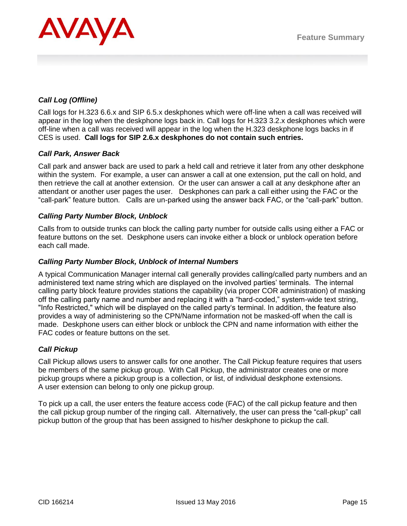

## *Call Log (Offline)*

Call logs for H.323 6.6.x and SIP 6.5.x deskphones which were off-line when a call was received will appear in the log when the deskphone logs back in. Call logs for H.323 3.2.x deskphones which were off-line when a call was received will appear in the log when the H.323 deskphone logs backs in if CES is used. **Call logs for SIP 2.6.x deskphones do not contain such entries.**

## *Call Park, Answer Back*

Call park and answer back are used to park a held call and retrieve it later from any other deskphone within the system. For example, a user can answer a call at one extension, put the call on hold, and then retrieve the call at another extension. Or the user can answer a call at any deskphone after an attendant or another user pages the user. Deskphones can park a call either using the FAC or the "call-park" feature button. Calls are un-parked using the answer back FAC, or the "call-park" button.

## *Calling Party Number Block, Unblock*

Calls from to outside trunks can block the calling party number for outside calls using either a FAC or feature buttons on the set. Deskphone users can invoke either a block or unblock operation before each call made.

## *Calling Party Number Block, Unblock of Internal Numbers*

A typical Communication Manager internal call generally provides calling/called party numbers and an administered text name string which are displayed on the involved parties' terminals. The internal calling party block feature provides stations the capability (via proper COR administration) of masking off the calling party name and number and replacing it with a "hard-coded," system-wide text string, "Info Restricted," which will be displayed on the called party's terminal. In addition, the feature also provides a way of administering so the CPN/Name information not be masked-off when the call is made. Deskphone users can either block or unblock the CPN and name information with either the FAC codes or feature buttons on the set.

## *Call Pickup*

Call Pickup allows users to answer calls for one another. The Call Pickup feature requires that users be members of the same pickup group. With Call Pickup, the administrator creates one or more pickup groups where a pickup group is a collection, or list, of individual deskphone extensions. A user extension can belong to only one pickup group.

To pick up a call, the user enters the feature access code (FAC) of the call pickup feature and then the call pickup group number of the ringing call. Alternatively, the user can press the "call-pkup" call pickup button of the group that has been assigned to his/her deskphone to pickup the call.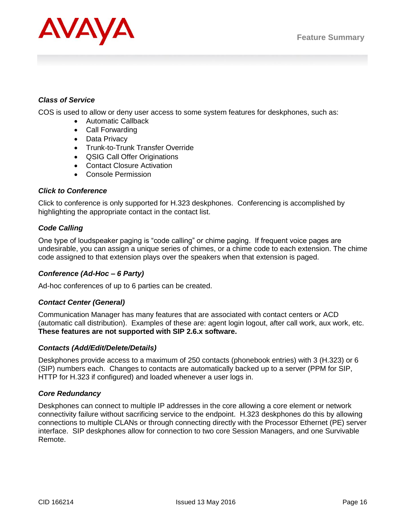

## *Class of Service*

COS is used to allow or deny user access to some system features for deskphones, such as:

- Automatic Callback
- Call Forwarding
- Data Privacy
- Trunk-to-Trunk Transfer Override
- QSIG Call Offer Originations
- Contact Closure Activation
- Console Permission

## *Click to Conference*

Click to conference is only supported for H.323 deskphones. Conferencing is accomplished by highlighting the appropriate contact in the contact list.

## *Code Calling*

One type of loudspeaker paging is "code calling" or chime paging. If frequent voice pages are undesirable, you can assign a unique series of chimes, or a chime code to each extension. The chime code assigned to that extension plays over the speakers when that extension is paged.

## *Conference (Ad-Hoc – 6 Party)*

Ad-hoc conferences of up to 6 parties can be created.

## *Contact Center (General)*

Communication Manager has many features that are associated with contact centers or ACD (automatic call distribution). Examples of these are: agent login logout, after call work, aux work, etc. **These features are not supported with SIP 2.6.x software.**

## *Contacts (Add/Edit/Delete/Details)*

Deskphones provide access to a maximum of 250 contacts (phonebook entries) with 3 (H.323) or 6 (SIP) numbers each. Changes to contacts are automatically backed up to a server (PPM for SIP, HTTP for H.323 if configured) and loaded whenever a user logs in.

## *Core Redundancy*

Deskphones can connect to multiple IP addresses in the core allowing a core element or network connectivity failure without sacrificing service to the endpoint. H.323 deskphones do this by allowing connections to multiple CLANs or through connecting directly with the Processor Ethernet (PE) server interface. SIP deskphones allow for connection to two core Session Managers, and one Survivable Remote.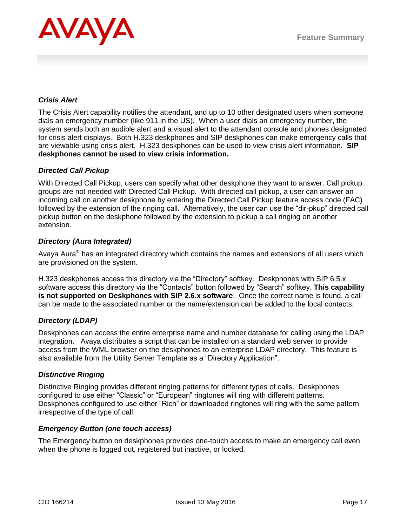

## *Crisis Alert*

The Crisis Alert capability notifies the attendant, and up to 10 other designated users when someone dials an emergency number (like 911 in the US). When a user dials an emergency number, the system sends both an audible alert and a visual alert to the attendant console and phones designated for crisis alert displays. Both H.323 deskphones and SIP deskphones can make emergency calls that are viewable using crisis alert. H.323 deskphones can be used to view crisis alert information. **SIP deskphones cannot be used to view crisis information.**

## *Directed Call Pickup*

With Directed Call Pickup, users can specify what other deskphone they want to answer. Call pickup groups are not needed with Directed Call Pickup. With directed call pickup, a user can answer an incoming call on another deskphone by entering the Directed Call Pickup feature access code (FAC) followed by the extension of the ringing call. Alternatively, the user can use the "dir-pkup" directed call pickup button on the deskphone followed by the extension to pickup a call ringing on another extension.

## *Directory (Aura Integrated)*

Avaya Aura® has an integrated directory which contains the names and extensions of all users which are provisioned on the system.

H.323 deskphones access this directory via the "Directory" softkey. Deskphones with SIP 6.5.x software access this directory via the "Contacts" button followed by "Search" softkey. **This capability is not supported on Deskphones with SIP 2.6.x software**. Once the correct name is found, a call can be made to the associated number or the name/extension can be added to the local contacts.

## *Directory (LDAP)*

Deskphones can access the entire enterprise name and number database for calling using the LDAP integration. Avaya distributes a script that can be installed on a standard web server to provide access from the WML browser on the deskphones to an enterprise LDAP directory. This feature is also available from the Utility Server Template as a "Directory Application".

## *Distinctive Ringing*

Distinctive Ringing provides different ringing patterns for different types of calls. Deskphones configured to use either "Classic" or "European" ringtones will ring with different patterns. Deskphones configured to use either "Rich" or downloaded ringtones will ring with the same pattern irrespective of the type of call.

## *Emergency Button (one touch access)*

The Emergency button on deskphones provides one-touch access to make an emergency call even when the phone is logged out, registered but inactive, or locked.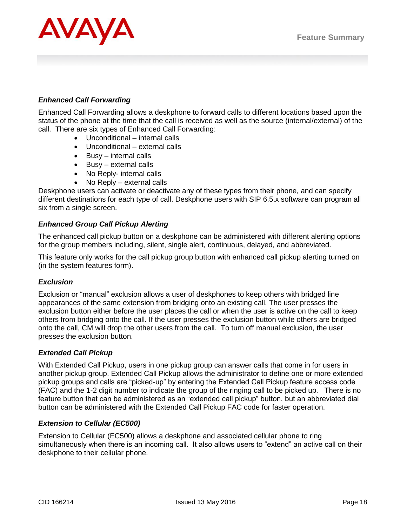

## *Enhanced Call Forwarding*

Enhanced Call Forwarding allows a deskphone to forward calls to different locations based upon the status of the phone at the time that the call is received as well as the source (internal/external) of the call. There are six types of Enhanced Call Forwarding:

- Unconditional internal calls
- Unconditional external calls
- $\bullet$  Busy internal calls
- $\bullet$  Busy external calls
- No Reply- internal calls
- No Reply external calls

Deskphone users can activate or deactivate any of these types from their phone, and can specify different destinations for each type of call. Deskphone users with SIP 6.5.x software can program all six from a single screen.

## *Enhanced Group Call Pickup Alerting*

The enhanced call pickup button on a deskphone can be administered with different alerting options for the group members including, silent, single alert, continuous, delayed, and abbreviated.

This feature only works for the call pickup group button with enhanced call pickup alerting turned on (in the system features form).

## *Exclusion*

Exclusion or "manual" exclusion allows a user of deskphones to keep others with bridged line appearances of the same extension from bridging onto an existing call. The user presses the exclusion button either before the user places the call or when the user is active on the call to keep others from bridging onto the call. If the user presses the exclusion button while others are bridged onto the call, CM will drop the other users from the call. To turn off manual exclusion, the user presses the exclusion button.

## *Extended Call Pickup*

With Extended Call Pickup, users in one pickup group can answer calls that come in for users in another pickup group. Extended Call Pickup allows the administrator to define one or more extended pickup groups and calls are "picked-up" by entering the Extended Call Pickup feature access code (FAC) and the 1-2 digit number to indicate the group of the ringing call to be picked up. There is no feature button that can be administered as an "extended call pickup" button, but an abbreviated dial button can be administered with the Extended Call Pickup FAC code for faster operation.

## *Extension to Cellular (EC500)*

Extension to Cellular (EC500) allows a deskphone and associated cellular phone to ring simultaneously when there is an incoming call. It also allows users to "extend" an active call on their deskphone to their cellular phone.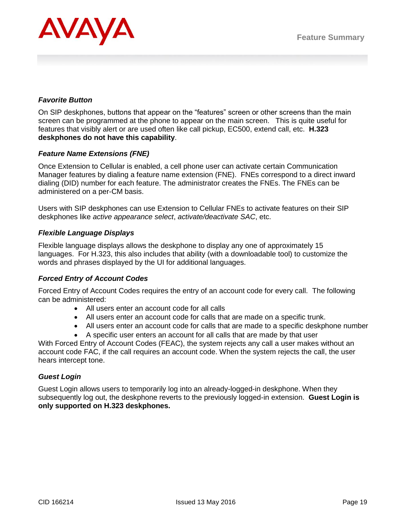

## *Favorite Button*

On SIP deskphones, buttons that appear on the "features" screen or other screens than the main screen can be programmed at the phone to appear on the main screen. This is quite useful for features that visibly alert or are used often like call pickup, EC500, extend call, etc. **H.323 deskphones do not have this capability**.

## *Feature Name Extensions (FNE)*

Once Extension to Cellular is enabled, a cell phone user can activate certain Communication Manager features by dialing a feature name extension (FNE). FNEs correspond to a direct inward dialing (DID) number for each feature. The administrator creates the FNEs. The FNEs can be administered on a per-CM basis.

Users with SIP deskphones can use Extension to Cellular FNEs to activate features on their SIP deskphones like *active appearance select*, *activate/deactivate SAC*, etc.

## *Flexible Language Displays*

Flexible language displays allows the deskphone to display any one of approximately 15 languages. For H.323, this also includes that ability (with a downloadable tool) to customize the words and phrases displayed by the UI for additional languages.

## *Forced Entry of Account Codes*

Forced Entry of Account Codes requires the entry of an account code for every call. The following can be administered:

- All users enter an account code for all calls
- All users enter an account code for calls that are made on a specific trunk.
- All users enter an account code for calls that are made to a specific deskphone number
- A specific user enters an account for all calls that are made by that user

With Forced Entry of Account Codes (FEAC), the system rejects any call a user makes without an account code FAC, if the call requires an account code. When the system rejects the call, the user hears intercept tone.

## *Guest Login*

Guest Login allows users to temporarily log into an already-logged-in deskphone. When they subsequently log out, the deskphone reverts to the previously logged-in extension. **Guest Login is only supported on H.323 deskphones.**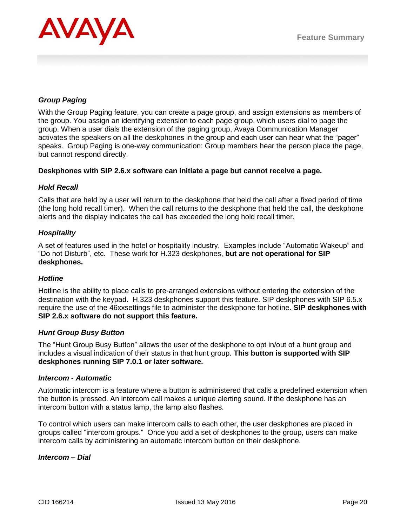

## *Group Paging*

With the Group Paging feature, you can create a page group, and assign extensions as members of the group. You assign an identifying extension to each page group, which users dial to page the group. When a user dials the extension of the paging group, Avaya Communication Manager activates the speakers on all the deskphones in the group and each user can hear what the "pager" speaks. Group Paging is one-way communication: Group members hear the person place the page, but cannot respond directly.

#### **Deskphones with SIP 2.6.x software can initiate a page but cannot receive a page.**

## *Hold Recall*

Calls that are held by a user will return to the deskphone that held the call after a fixed period of time (the long hold recall timer). When the call returns to the deskphone that held the call, the deskphone alerts and the display indicates the call has exceeded the long hold recall timer.

#### *Hospitality*

A set of features used in the hotel or hospitality industry. Examples include "Automatic Wakeup" and "Do not Disturb", etc. These work for H.323 deskphones, **but are not operational for SIP deskphones.**

## *Hotline*

Hotline is the ability to place calls to pre-arranged extensions without entering the extension of the destination with the keypad. H.323 deskphones support this feature. SIP deskphones with SIP 6.5.x require the use of the 46xxsettings file to administer the deskphone for hotline. **SIP deskphones with SIP 2.6.x software do not support this feature.**

#### *Hunt Group Busy Button*

The "Hunt Group Busy Button" allows the user of the deskphone to opt in/out of a hunt group and includes a visual indication of their status in that hunt group. **This button is supported with SIP deskphones running SIP 7.0.1 or later software.** 

#### *Intercom - Automatic*

Automatic intercom is a feature where a button is administered that calls a predefined extension when the button is pressed. An intercom call makes a unique alerting sound. If the deskphone has an intercom button with a status lamp, the lamp also flashes.

To control which users can make intercom calls to each other, the user deskphones are placed in groups called "intercom groups." Once you add a set of deskphones to the group, users can make intercom calls by administering an automatic intercom button on their deskphone.

#### *Intercom – Dial*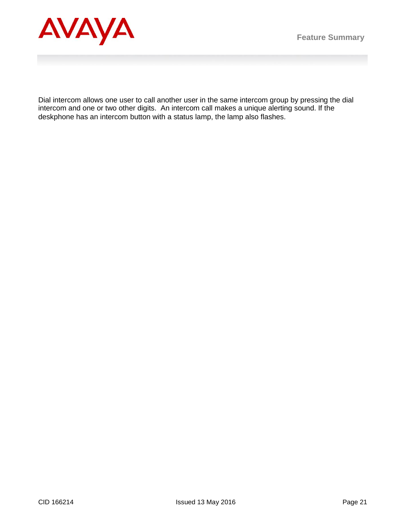

Dial intercom allows one user to call another user in the same intercom group by pressing the dial intercom and one or two other digits. An intercom call makes a unique alerting sound. If the deskphone has an intercom button with a status lamp, the lamp also flashes.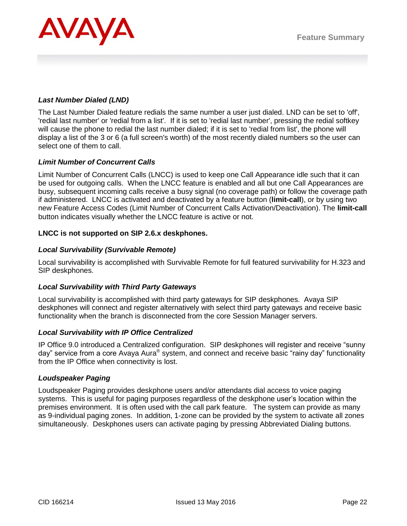

## *Last Number Dialed (LND)*

The Last Number Dialed feature redials the same number a user just dialed. LND can be set to 'off', 'redial last number' or 'redial from a list'. If it is set to 'redial last number', pressing the redial softkey will cause the phone to redial the last number dialed; if it is set to 'redial from list', the phone will display a list of the 3 or 6 (a full screen's worth) of the most recently dialed numbers so the user can select one of them to call.

## *Limit Number of Concurrent Calls*

Limit Number of Concurrent Calls (LNCC) is used to keep one Call Appearance idle such that it can be used for outgoing calls. When the LNCC feature is enabled and all but one Call Appearances are busy, subsequent incoming calls receive a busy signal (no coverage path) or follow the coverage path if administered. LNCC is activated and deactivated by a feature button (**limit-call**), or by using two new Feature Access Codes (Limit Number of Concurrent Calls Activation/Deactivation). The **limit-call**  button indicates visually whether the LNCC feature is active or not.

## **LNCC is not supported on SIP 2.6.x deskphones.**

## *Local Survivability (Survivable Remote)*

Local survivability is accomplished with Survivable Remote for full featured survivability for H.323 and SIP deskphones.

## *Local Survivability with Third Party Gateways*

Local survivability is accomplished with third party gateways for SIP deskphones. Avaya SIP deskphones will connect and register alternatively with select third party gateways and receive basic functionality when the branch is disconnected from the core Session Manager servers.

## *Local Survivability with IP Office Centralized*

IP Office 9.0 introduced a Centralized configuration. SIP deskphones will register and receive "sunny day" service from a core Avaya Aura® system, and connect and receive basic "rainy day" functionality from the IP Office when connectivity is lost.

## *Loudspeaker Paging*

Loudspeaker Paging provides deskphone users and/or attendants dial access to voice paging systems. This is useful for paging purposes regardless of the deskphone user's location within the premises environment. It is often used with the call park feature. The system can provide as many as 9-individual paging zones. In addition, 1-zone can be provided by the system to activate all zones simultaneously. Deskphones users can activate paging by pressing Abbreviated Dialing buttons.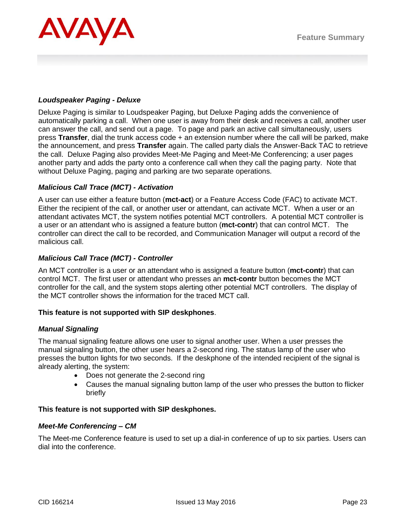

## *Loudspeaker Paging - Deluxe*

Deluxe Paging is similar to Loudspeaker Paging, but Deluxe Paging adds the convenience of automatically parking a call. When one user is away from their desk and receives a call, another user can answer the call, and send out a page. To page and park an active call simultaneously, users press **Transfer**, dial the trunk access code + an extension number where the call will be parked, make the announcement, and press **Transfer** again. The called party dials the Answer-Back TAC to retrieve the call. Deluxe Paging also provides Meet-Me Paging and Meet-Me Conferencing; a user pages another party and adds the party onto a conference call when they call the paging party. Note that without Deluxe Paging, paging and parking are two separate operations.

## *Malicious Call Trace (MCT) - Activation*

A user can use either a feature button (**mct-act**) or a Feature Access Code (FAC) to activate MCT. Either the recipient of the call, or another user or attendant, can activate MCT. When a user or an attendant activates MCT, the system notifies potential MCT controllers. A potential MCT controller is a user or an attendant who is assigned a feature button (**mct-contr**) that can control MCT. The controller can direct the call to be recorded, and Communication Manager will output a record of the malicious call.

## *Malicious Call Trace (MCT) - Controller*

An MCT controller is a user or an attendant who is assigned a feature button (**mct-contr**) that can control MCT. The first user or attendant who presses an **mct-contr** button becomes the MCT controller for the call, and the system stops alerting other potential MCT controllers. The display of the MCT controller shows the information for the traced MCT call.

## **This feature is not supported with SIP deskphones**.

## *Manual Signaling*

The manual signaling feature allows one user to signal another user. When a user presses the manual signaling button, the other user hears a 2-second ring. The status lamp of the user who presses the button lights for two seconds. If the deskphone of the intended recipient of the signal is already alerting, the system:

- Does not generate the 2-second ring
- Causes the manual signaling button lamp of the user who presses the button to flicker briefly

## **This feature is not supported with SIP deskphones.**

## *Meet-Me Conferencing – CM*

The Meet-me Conference feature is used to set up a dial-in conference of up to six parties. Users can dial into the conference.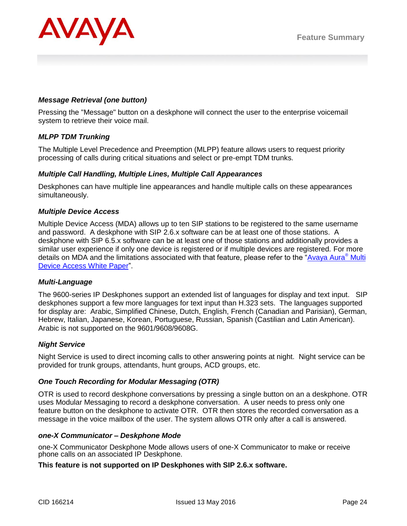

## *Message Retrieval (one button)*

Pressing the "Message" button on a deskphone will connect the user to the enterprise voicemail system to retrieve their voice mail.

## *MLPP TDM Trunking*

The Multiple Level Precedence and Preemption (MLPP) feature allows users to request priority processing of calls during critical situations and select or pre-empt TDM trunks.

#### *Multiple Call Handling, Multiple Lines, Multiple Call Appearances*

Deskphones can have multiple line appearances and handle multiple calls on these appearances simultaneously.

#### *Multiple Device Access*

Multiple Device Access (MDA) allows up to ten SIP stations to be registered to the same username and password. A deskphone with SIP 2.6.x software can be at least one of those stations. A deskphone with SIP 6.5.x software can be at least one of those stations and additionally provides a similar user experience if only one device is registered or if multiple devices are registered. For more details on MDA and the limitations associated with that feature, please refer to the ["Avaya Aura](https://downloads.avaya.com/css/P8/documents/100175330)® Multi [Device Access White Paper"](https://downloads.avaya.com/css/P8/documents/100175330).

#### *Multi-Language*

The 9600-series IP Deskphones support an extended list of languages for display and text input. SIP deskphones support a few more languages for text input than H.323 sets. The languages supported for display are: Arabic, Simplified Chinese, Dutch, English, French (Canadian and Parisian), German, Hebrew, Italian, Japanese, Korean, Portuguese, Russian, Spanish (Castilian and Latin American). Arabic is not supported on the 9601/9608/9608G.

## *Night Service*

Night Service is used to direct incoming calls to other answering points at night. Night service can be provided for trunk groups, attendants, hunt groups, ACD groups, etc.

#### *One Touch Recording for Modular Messaging (OTR)*

OTR is used to record deskphone conversations by pressing a single button on an a deskphone. OTR uses Modular Messaging to record a deskphone conversation. A user needs to press only one feature button on the deskphone to activate OTR. OTR then stores the recorded conversation as a message in the voice mailbox of the user. The system allows OTR only after a call is answered.

#### *one-X Communicator – Deskphone Mode*

one-X Communicator Deskphone Mode allows users of one-X Communicator to make or receive phone calls on an associated IP Deskphone.

#### **This feature is not supported on IP Deskphones with SIP 2.6.x software.**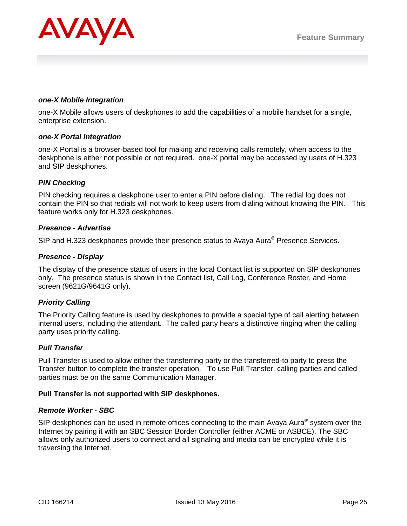

#### *one-X Mobile Integration*

one-X Mobile allows users of deskphones to add the capabilities of a mobile handset for a single, enterprise extension.

#### *one-X Portal Integration*

one-X Portal is a browser-based tool for making and receiving calls remotely, when access to the deskphone is either not possible or not required. one-X portal may be accessed by users of H.323 and SIP deskphones.

## *PIN Checking*

PIN checking requires a deskphone user to enter a PIN before dialing. The redial log does not contain the PIN so that redials will not work to keep users from dialing without knowing the PIN. This feature works only for H.323 deskphones.

#### *Presence - Advertise*

SIP and H.323 deskphones provide their presence status to Avaya Aura<sup>®</sup> Presence Services.

## *Presence - Display*

The display of the presence status of users in the local Contact list is supported on SIP deskphones only. The presence status is shown in the Contact list, Call Log, Conference Roster, and Home screen (9621G/9641G only).

## *Priority Calling*

The Priority Calling feature is used by deskphones to provide a special type of call alerting between internal users, including the attendant. The called party hears a distinctive ringing when the calling party uses priority calling.

## *Pull Transfer*

Pull Transfer is used to allow either the transferring party or the transferred-to party to press the Transfer button to complete the transfer operation. To use Pull Transfer, calling parties and called parties must be on the same Communication Manager.

#### **Pull Transfer is not supported with SIP deskphones.**

#### *Remote Worker - SBC*

SIP deskphones can be used in remote offices connecting to the main Avaya Aura $^{\circ}$  system over the Internet by pairing it with an SBC Session Border Controller (either ACME or ASBCE). The SBC allows only authorized users to connect and all signaling and media can be encrypted while it is traversing the Internet.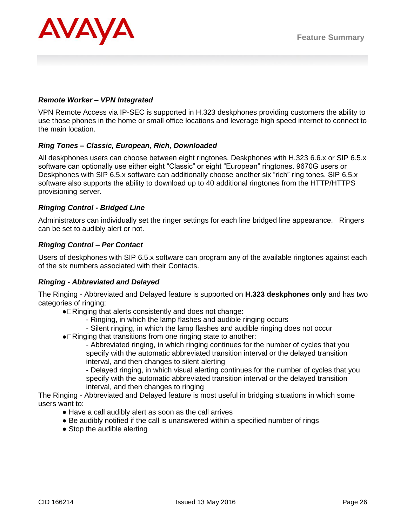

## *Remote Worker – VPN Integrated*

VPN Remote Access via IP-SEC is supported in H.323 deskphones providing customers the ability to use those phones in the home or small office locations and leverage high speed internet to connect to the main location.

## *Ring Tones – Classic, European, Rich, Downloaded*

All deskphones users can choose between eight ringtones. Deskphones with H.323 6.6.x or SIP 6.5.x software can optionally use either eight "Classic" or eight "European" ringtones. 9670G users or Deskphones with SIP 6.5.x software can additionally choose another six "rich" ring tones. SIP 6.5.x software also supports the ability to download up to 40 additional ringtones from the HTTP/HTTPS provisioning server.

## *Ringing Control - Bridged Line*

Administrators can individually set the ringer settings for each line bridged line appearance. Ringers can be set to audibly alert or not.

## *Ringing Control – Per Contact*

Users of deskphones with SIP 6.5.x software can program any of the available ringtones against each of the six numbers associated with their Contacts.

## *Ringing - Abbreviated and Delayed*

The Ringing - Abbreviated and Delayed feature is supported on **H.323 deskphones only** and has two categories of ringing:

- Ringing that alerts consistently and does not change:
	- Ringing, in which the lamp flashes and audible ringing occurs
	- Silent ringing, in which the lamp flashes and audible ringing does not occur
- Ringing that transitions from one ringing state to another:

- Abbreviated ringing, in which ringing continues for the number of cycles that you specify with the automatic abbreviated transition interval or the delayed transition interval, and then changes to silent alerting

- Delayed ringing, in which visual alerting continues for the number of cycles that you specify with the automatic abbreviated transition interval or the delayed transition interval, and then changes to ringing

The Ringing - Abbreviated and Delayed feature is most useful in bridging situations in which some users want to:

- Have a call audibly alert as soon as the call arrives
- Be audibly notified if the call is unanswered within a specified number of rings
- Stop the audible alerting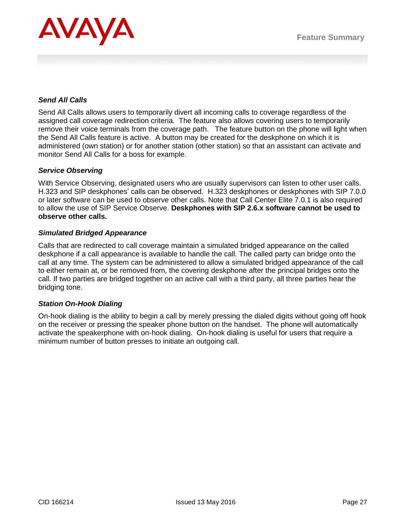

## *Send All Calls*

Send All Calls allows users to temporarily divert all incoming calls to coverage regardless of the assigned call coverage redirection criteria. The feature also allows covering users to temporarily remove their voice terminals from the coverage path. The feature button on the phone will light when the Send All Calls feature is active. A button may be created for the deskphone on which it is administered (own station) or for another station (other station) so that an assistant can activate and monitor Send All Calls for a boss for example.

#### *Service Observing*

With Service Observing, designated users who are usually supervisors can listen to other user calls. H.323 and SIP deskphones' calls can be observed. H.323 deskphones or deskphones with SIP 7.0.0 or later software can be used to observe other calls. Note that Call Center Elite 7.0.1 is also required to allow the use of SIP Service Observe. **Deskphones with SIP 2.6.x software cannot be used to observe other calls.**

#### *Simulated Bridged Appearance*

Calls that are redirected to call coverage maintain a simulated bridged appearance on the called deskphone if a call appearance is available to handle the call. The called party can bridge onto the call at any time. The system can be administered to allow a simulated bridged appearance of the call to either remain at, or be removed from, the covering deskphone after the principal bridges onto the call. If two parties are bridged together on an active call with a third party, all three parties hear the bridging tone.

## *Station On-Hook Dialing*

On-hook dialing is the ability to begin a call by merely pressing the dialed digits without going off hook on the receiver or pressing the speaker phone button on the handset. The phone will automatically activate the speakerphone with on-hook dialing. On-hook dialing is useful for users that require a minimum number of button presses to initiate an outgoing call.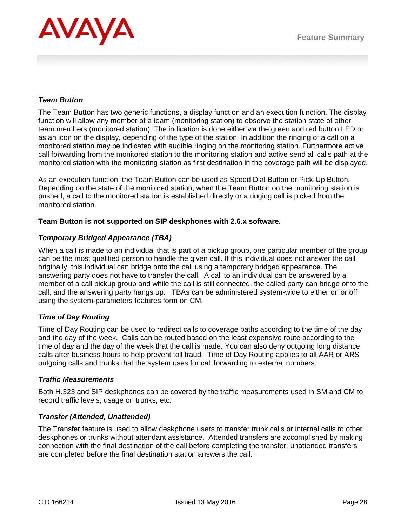

## *Team Button*

The Team Button has two generic functions, a display function and an execution function. The display function will allow any member of a team (monitoring station) to observe the station state of other team members (monitored station). The indication is done either via the green and red button LED or as an icon on the display, depending of the type of the station. In addition the ringing of a call on a monitored station may be indicated with audible ringing on the monitoring station. Furthermore active call forwarding from the monitored station to the monitoring station and active send all calls path at the monitored station with the monitoring station as first destination in the coverage path will be displayed.

As an execution function, the Team Button can be used as Speed Dial Button or Pick-Up Button. Depending on the state of the monitored station, when the Team Button on the monitoring station is pushed, a call to the monitored station is established directly or a ringing call is picked from the monitored station.

## **Team Button is not supported on SIP deskphones with 2.6.x software.**

## *Temporary Bridged Appearance (TBA)*

When a call is made to an individual that is part of a pickup group, one particular member of the group can be the most qualified person to handle the given call. If this individual does not answer the call originally, this individual can bridge onto the call using a temporary bridged appearance. The answering party does not have to transfer the call. A call to an individual can be answered by a member of a call pickup group and while the call is still connected, the called party can bridge onto the call, and the answering party hangs up. TBAs can be administered system-wide to either on or off using the system-parameters features form on CM.

## *Time of Day Routing*

Time of Day Routing can be used to redirect calls to coverage paths according to the time of the day and the day of the week. Calls can be routed based on the least expensive route according to the time of day and the day of the week that the call is made. You can also deny outgoing long distance calls after business hours to help prevent toll fraud. Time of Day Routing applies to all AAR or ARS outgoing calls and trunks that the system uses for call forwarding to external numbers.

## *Traffic Measurements*

Both H.323 and SIP deskphones can be covered by the traffic measurements used in SM and CM to record traffic levels, usage on trunks, etc.

## *Transfer (Attended, Unattended)*

The Transfer feature is used to allow deskphone users to transfer trunk calls or internal calls to other deskphones or trunks without attendant assistance. Attended transfers are accomplished by making connection with the final destination of the call before completing the transfer; unattended transfers are completed before the final destination station answers the call.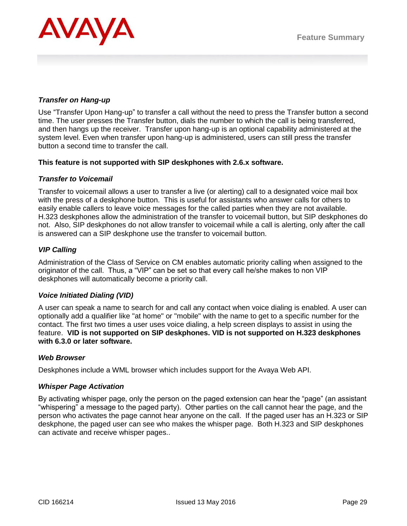

## *Transfer on Hang-up*

Use "Transfer Upon Hang-up" to transfer a call without the need to press the Transfer button a second time. The user presses the Transfer button, dials the number to which the call is being transferred, and then hangs up the receiver. Transfer upon hang-up is an optional capability administered at the system level. Even when transfer upon hang-up is administered, users can still press the transfer button a second time to transfer the call.

## **This feature is not supported with SIP deskphones with 2.6.x software.**

#### *Transfer to Voicemail*

Transfer to voicemail allows a user to transfer a live (or alerting) call to a designated voice mail box with the press of a deskphone button. This is useful for assistants who answer calls for others to easily enable callers to leave voice messages for the called parties when they are not available. H.323 deskphones allow the administration of the transfer to voicemail button, but SIP deskphones do not. Also, SIP deskphones do not allow transfer to voicemail while a call is alerting, only after the call is answered can a SIP deskphone use the transfer to voicemail button.

## *VIP Calling*

Administration of the Class of Service on CM enables automatic priority calling when assigned to the originator of the call. Thus, a "VIP" can be set so that every call he/she makes to non VIP deskphones will automatically become a priority call.

## *Voice Initiated Dialing (VID)*

A user can speak a name to search for and call any contact when voice dialing is enabled. A user can optionally add a qualifier like "at home" or "mobile" with the name to get to a specific number for the contact. The first two times a user uses voice dialing, a help screen displays to assist in using the feature. **VID is not supported on SIP deskphones. VID is not supported on H.323 deskphones with 6.3.0 or later software.**

#### *Web Browser*

Deskphones include a WML browser which includes support for the Avaya Web API.

#### *Whisper Page Activation*

By activating whisper page, only the person on the paged extension can hear the "page" (an assistant "whispering" a message to the paged party). Other parties on the call cannot hear the page, and the person who activates the page cannot hear anyone on the call. If the paged user has an H.323 or SIP deskphone, the paged user can see who makes the whisper page. Both H.323 and SIP deskphones can activate and receive whisper pages..